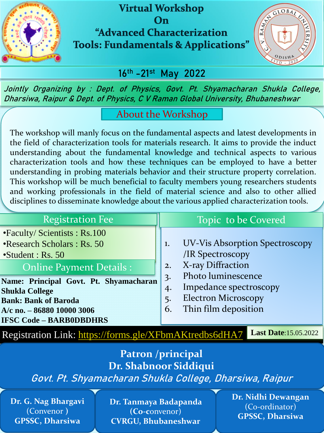

### **Virtual Workshop** On "Advanced Characterization **Tools: Fundamentals & Applications"**



## **16th -21st May 2022**

**Jointly Organizing by : Dept. of Physics, Govt. Pt. Shyamacharan Shukla College, Dharsiwa, Raipur & Dept. of Physics, C V Raman Global University, Bhubaneshwar**

#### About the Workshop

The workshop will manly focus on the fundamental aspects and latest developments in the field of characterization tools for materials research. It aims to provide the induct understanding about the fundamental knowledge and technical aspects to various characterization tools and how these techniques can be employed to have a better understanding in probing materials behavior and their structure property correlation. This workshop will be much beneficial to faculty members young researchers students and working professionals in the field of material science and also to other allied disciplines to disseminate knowledge about the various applied characterization tools.

| <b>Registration Fee</b>                                                                                                                                        | Topic to be Covered                                                                                                                                                                                                                    |
|----------------------------------------------------------------------------------------------------------------------------------------------------------------|----------------------------------------------------------------------------------------------------------------------------------------------------------------------------------------------------------------------------------------|
| •Faculty/Scientists: Rs.100<br>•Research Scholars : Rs. 50<br>$\cdot$ Student : Rs. 50<br><b>Online Payment Details:</b>                                       | <b>UV-Vis Absorption Spectroscopy</b><br>1.<br>/IR Spectroscopy<br>X-ray Diffraction<br>2.<br>Photo luminescence<br>$\overline{3}$ .<br>Impedance spectroscopy<br>4.<br><b>Electron Microscopy</b><br>5.<br>Thin film deposition<br>6. |
| Name: Principal Govt. Pt. Shyamacharan<br><b>Shukla College</b><br><b>Bank: Bank of Baroda</b><br>A/c no. - 86880 10000 3006<br><b>IFSC Code - BARB0DBDHRS</b> |                                                                                                                                                                                                                                        |
| Registration Link: https://forms.gle/XFbmAKtredbs6dHA7                                                                                                         | <b>Last Date:15.05.2022</b>                                                                                                                                                                                                            |

#### **Patron /principal Dr. Shabnoor Siddiqui**

**Govt. Pt. Shyamacharan Shukla College, Dharsiwa, Raipur**

**Dr. G. Nag Bhargavi** (Convenor **) GPSSC, Dharsiwa**

**Dr. Tanmaya Badapanda (Co-c**onvenor) **CVRGU, Bhubaneshwar**

**Dr. Nidhi Dewangan** (Co-ordinator) **GPSSC, Dharsiwa**